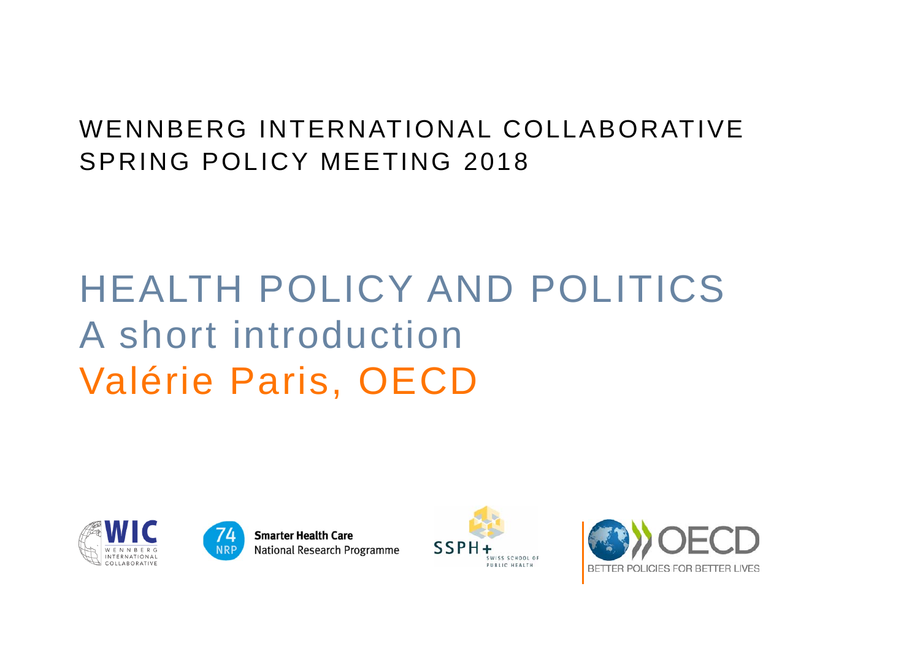### WENNBERG INTERNATIONAL COLLABORATIVESPRING POLICY MEETING 2018

# HEALTH POLICY AND POLITICSA short introductionValérie Paris, OECD





**Smarter Health Care National Research Programme** 



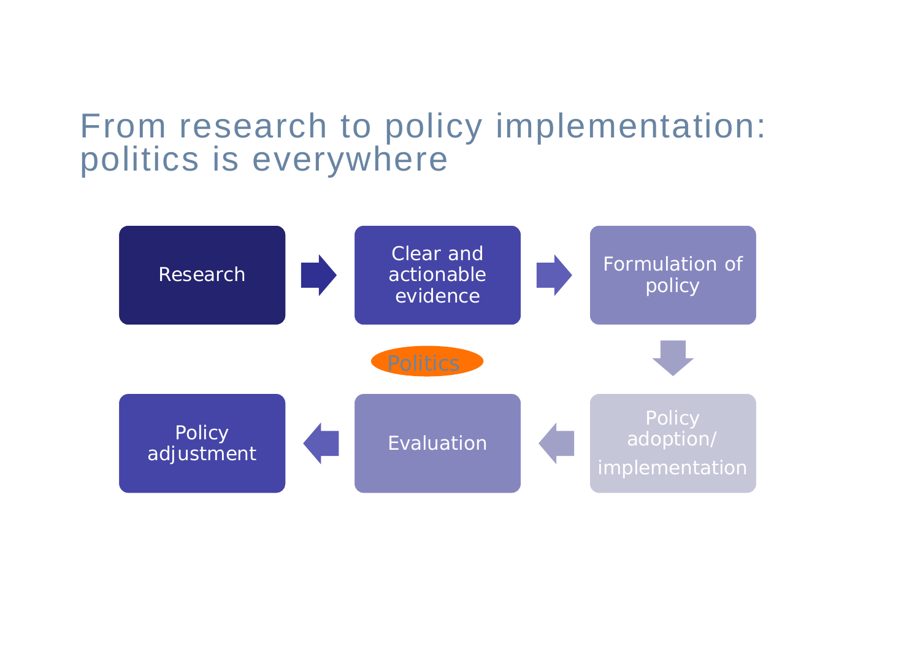## From research to policy implementation: politics is everywhere

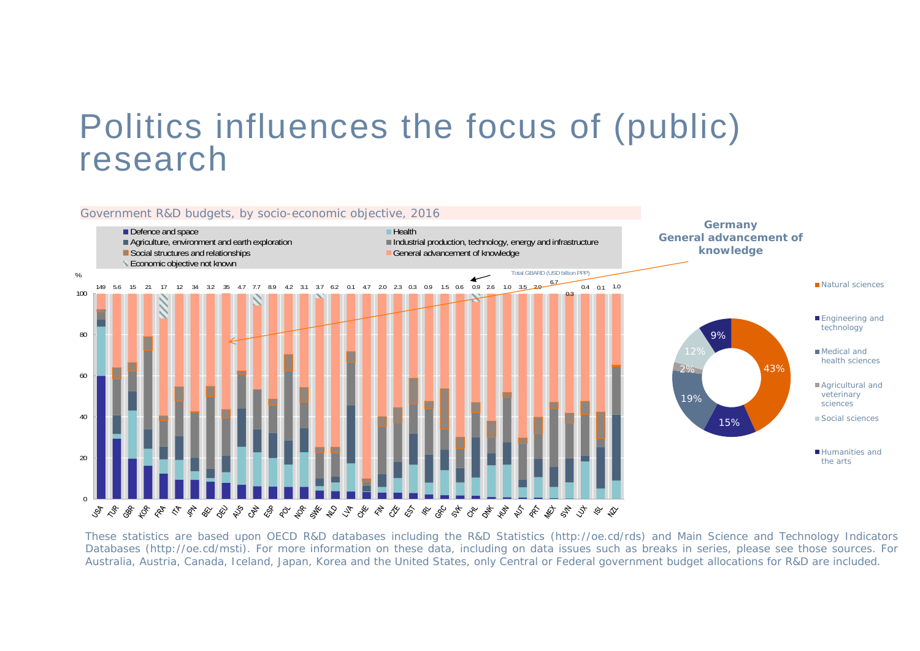## Politics influences the focus of (public) research

![](_page_2_Figure_1.jpeg)

Australia, Austria, Canada, Iceland, Japan, Korea and the United States, only Central or Federal government budget allocations for R&D are included. These statistics are based upon OECD R&D databases including the R&D Statistics (http://oe.cd/rds) and Main Science and Technology Indicators Databases (http://oe.cd/msti). For more information on these data, including on data issues such as breaks in series, please see those sources. For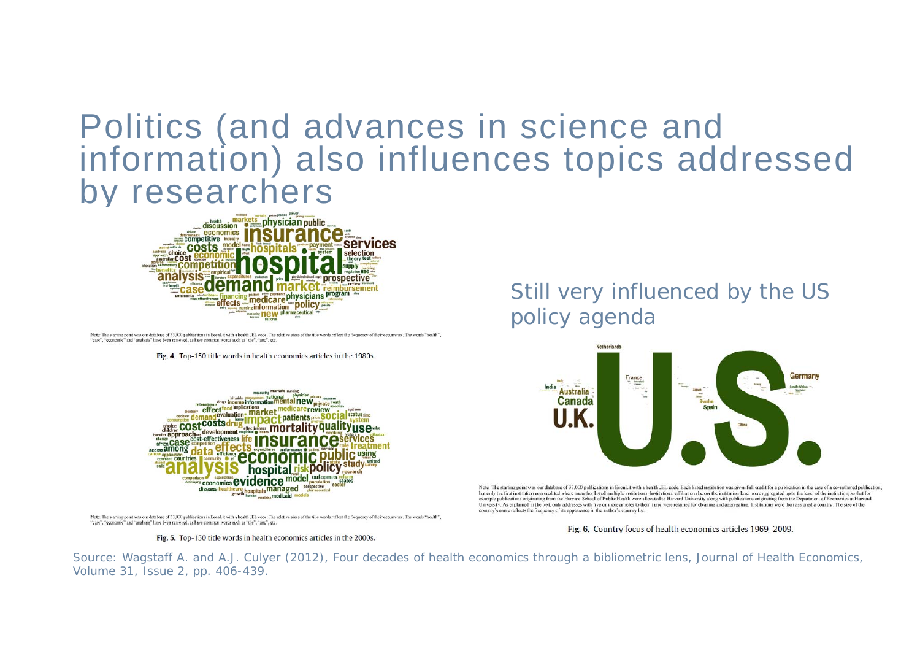### Politics (and advances in science and information) also influences topics addressed by researchers

![](_page_3_Picture_1.jpeg)

Note: The starting point was our database of 33,000 publications in EconLit with a health JEL code. The relative sizes of the title words reflect the frequency of their occurrence. The words "health", "care", "economic" and "analysis" have been removed, as have common words such as "the", "and", etc.

Fig. 4. Top-150 title words in health economics articles in the 1980s.

![](_page_3_Figure_4.jpeg)

Note: The starting point was our database of 33,000 publications in EconLit with a health JEL code. The relative sizes of the title words reflect the frequency of their occurrence. The words "health", "care", "economic" and "analysis" have been removed, as have common words such as "the", "and", etc.

Fig. 5. Top-150 title words in health economics articles in the 2000s.

#### Still very influenced by the US policy agenda

![](_page_3_Figure_8.jpeg)

Note: The starting point was our database of 33,000 publications in EconLit with a health JEL code. Each listed institution was given full credit for a publication in the case of a co-authored publication, but only the first institution was credited where an author listed multiple institutions. Institutional affiliations below the institution level were aggregated up to the level of the institution, so that for example publications originating from the Harvard School of Public Health were allocated to Harvard University along with publications originating from the Department of Economics at Harvard University. As explained in the text, only addresses with five or more articles to their name were retained for cleaning and aggregating. Institutions were then assigned a country. The size of the country's name reflects the frequency of its appearance in the author's country list.

Fig. 6. Country focus of health economics articles 1969-2009.

Source: Wagstaff A. and A.J. Culyer (2012), Four decades of health economics through a bibliometric lens, Journal of Health Economics, Volume 31, Issue 2, pp. 406-439.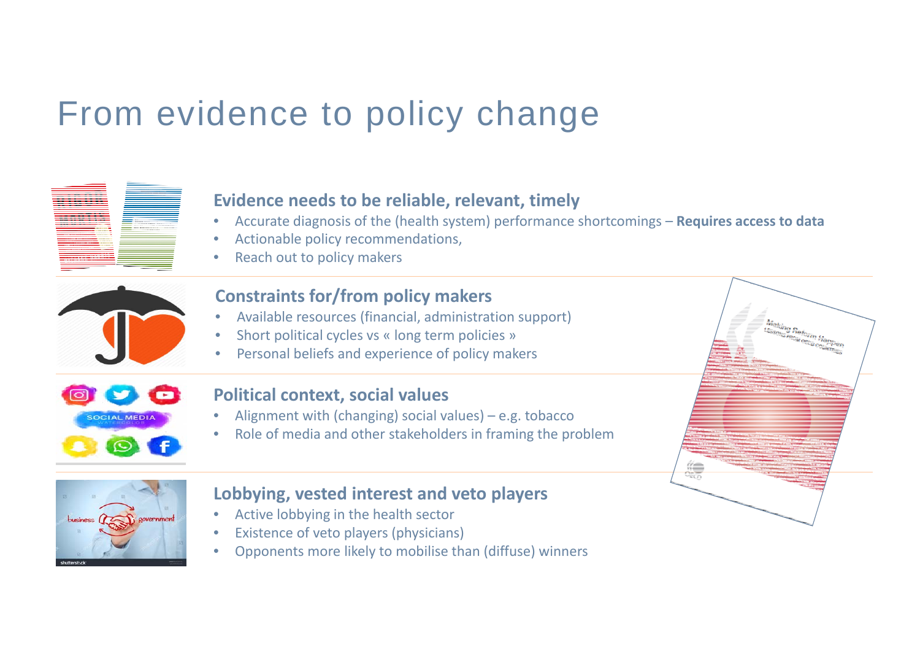## From evidence to policy change

![](_page_4_Picture_1.jpeg)

•Opponents more likely to mobilise than (diffuse) winners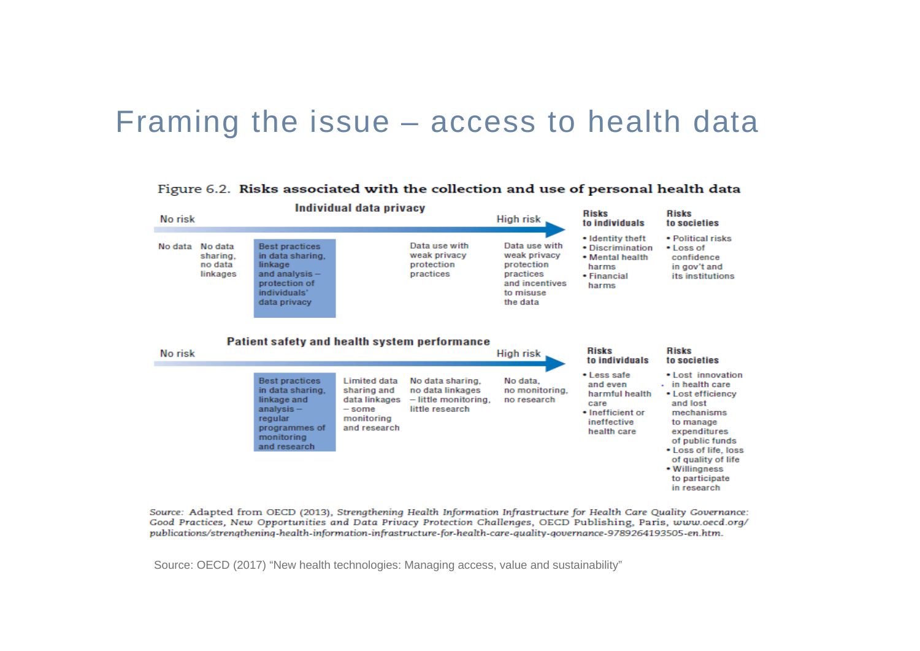### Framing the issue – access to health data

![](_page_5_Figure_1.jpeg)

Figure 6.2. Risks associated with the collection and use of personal health data

Source: Adapted from OECD (2013), Strengthening Health Information Infrastructure for Health Care Quality Governance: Good Practices, New Opportunities and Data Privacy Protection Challenges, OECD Publishing, Paris, www.oecd.org/ publications/strengthening-health-information-infrastructure-for-health-care-quality-governance-9789264193505-en.htm.

Source: OECD (2017) "New health technologies: Managing access, value and sustainability"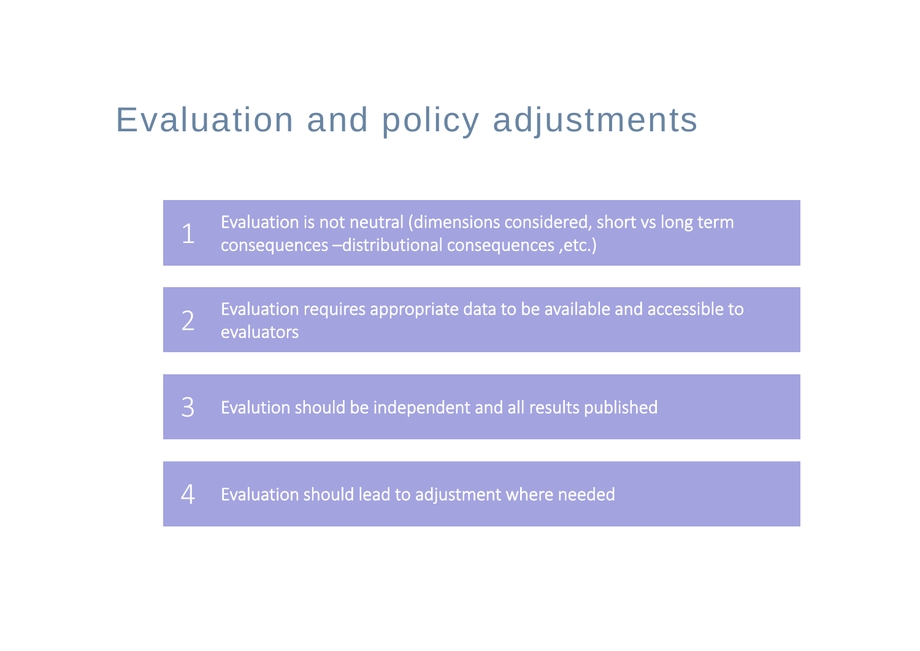## Evaluation and policy adjustments

Evaluation is not neutral (dimensions considered, short vs long term consequences –distributional consequences ,etc.)

Evaluation requires appropriate data to be available and accessible to evaluators2

Evalution should be independent and all results published 3

Evaluation should lead to adjustment where needed  $\boldsymbol{\varDelta}$